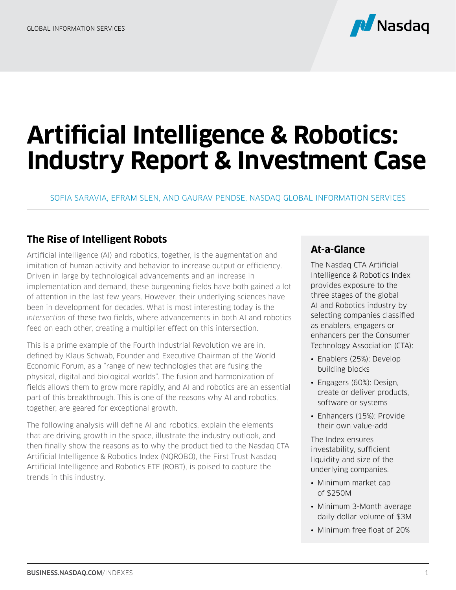

# **Artificial Intelligence & Robotics: Industry Report & Investment Case**

SOFIA SARAVIA, EFRAM SLEN, AND GAURAV PENDSE, NASDAQ GLOBAL INFORMATION SERVICES

## **The Rise of Intelligent Robots**

Artificial intelligence (AI) and robotics, together, is the augmentation and imitation of human activity and behavior to increase output or efficiency. Driven in large by technological advancements and an increase in implementation and demand, these burgeoning fields have both gained a lot of attention in the last few years. However, their underlying sciences have been in development for decades. What is most interesting today is the *intersection* of these two fields, where advancements in both AI and robotics feed on each other, creating a multiplier effect on this intersection.

This is a prime example of the Fourth Industrial Revolution we are in, defined by Klaus Schwab, Founder and Executive Chairman of the World Economic Forum, as a "range of new technologies that are fusing the physical, digital and biological worlds". The fusion and harmonization of fields allows them to grow more rapidly, and AI and robotics are an essential part of this breakthrough. This is one of the reasons why AI and robotics, together, are geared for exceptional growth.

The following analysis will define AI and robotics, explain the elements that are driving growth in the space, illustrate the industry outlook, and then finally show the reasons as to why the product tied to the Nasdaq CTA Artificial Intelligence & Robotics Index (NQROBO), the First Trust Nasdaq Artificial Intelligence and Robotics ETF (ROBT), is poised to capture the trends in this industry.

## **At-a-Glance**

The Nasdaq CTA Artificial Intelligence & Robotics Index provides exposure to the three stages of the global AI and Robotics industry by selecting companies classified as enablers, engagers or enhancers per the Consumer Technology Association (CTA):

- Enablers (25%): Develop building blocks
- Engagers (60%): Design, create or deliver products, software or systems
- Enhancers (15%): Provide their own value-add

The Index ensures investability, sufficient liquidity and size of the underlying companies.

- Minimum market cap of \$250M
- Minimum 3-Month average daily dollar volume of \$3M
- Minimum free float of 20%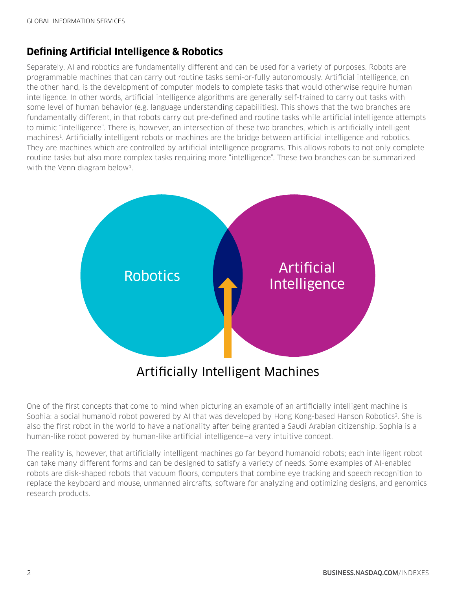## **Defining Artificial Intelligence & Robotics**

Separately, AI and robotics are fundamentally different and can be used for a variety of purposes. Robots are programmable machines that can carry out routine tasks semi-or-fully autonomously. Artificial intelligence, on the other hand, is the development of computer models to complete tasks that would otherwise require human intelligence. In other words, artificial intelligence algorithms are generally self-trained to carry out tasks with some level of human behavior (e.g. language understanding capabilities). This shows that the two branches are fundamentally different, in that robots carry out pre-defined and routine tasks while artificial intelligence attempts to mimic "intelligence". There is, however, an intersection of these two branches, which is artificially intelligent machines1. Artificially intelligent robots or machines are the bridge between artificial intelligence and robotics. They are machines which are controlled by artificial intelligence programs. This allows robots to not only complete routine tasks but also more complex tasks requiring more "intelligence". These two branches can be summarized with the Venn diagram below<sup>1</sup>.



One of the first concepts that come to mind when picturing an example of an artificially intelligent machine is Sophia: a social humanoid robot powered by AI that was developed by Hong Kong-based Hanson Robotics<sup>2</sup>. She is also the first robot in the world to have a nationality after being granted a Saudi Arabian citizenship. Sophia is a human-like robot powered by human-like artificial intelligence—a very intuitive concept.

The reality is, however, that artificially intelligent machines go far beyond humanoid robots; each intelligent robot can take many different forms and can be designed to satisfy a variety of needs. Some examples of AI-enabled robots are disk-shaped robots that vacuum floors, computers that combine eye tracking and speech recognition to replace the keyboard and mouse, unmanned aircrafts, software for analyzing and optimizing designs, and genomics research products.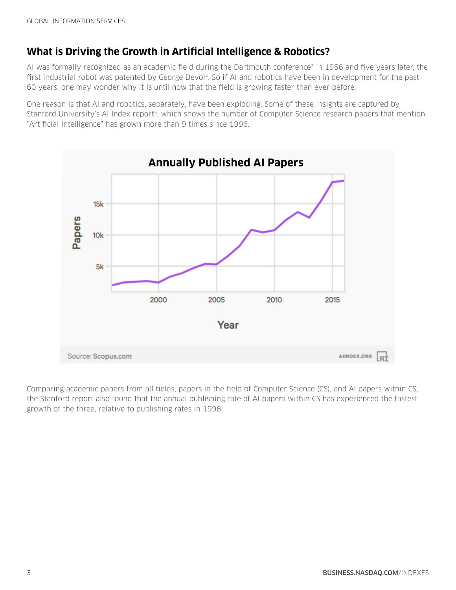## **What is Driving the Growth in Artificial Intelligence & Robotics?**

AI was formally recognized as an academic field during the Dartmouth conference<sup>3</sup> in 1956 and five years later, the first industrial robot was patented by George Devol<sup>4</sup>. So if AI and robotics have been in development for the past 60 years, one may wonder why it is until now that the field is growing faster than ever before.

One reason is that AI and robotics, separately, have been exploding. Some of these insights are captured by Stanford University's AI Index report<sup>5</sup>, which shows the number of Computer Science research papers that mention "Artificial Intelligence" has grown more than 9 times since 1996.



Comparing academic papers from all fields, papers in the field of Computer Science (CS), and AI papers within CS, the Stanford report also found that the annual publishing rate of AI papers within CS has experienced the fastest growth of the three, relative to publishing rates in 1996.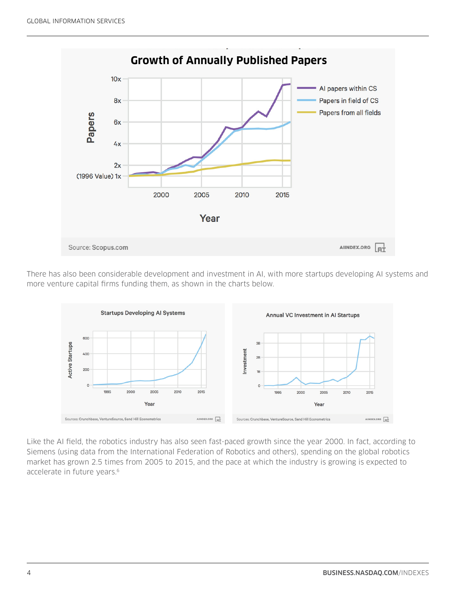

There has also been considerable development and investment in AI, with more startups developing AI systems and more venture capital firms funding them, as shown in the charts below.



Like the AI field, the robotics industry has also seen fast-paced growth since the year 2000. In fact, according to Siemens (using data from the International Federation of Robotics and others), spending on the global robotics market has grown 2.5 times from 2005 to 2015, and the pace at which the industry is growing is expected to accelerate in future years.<sup>6</sup>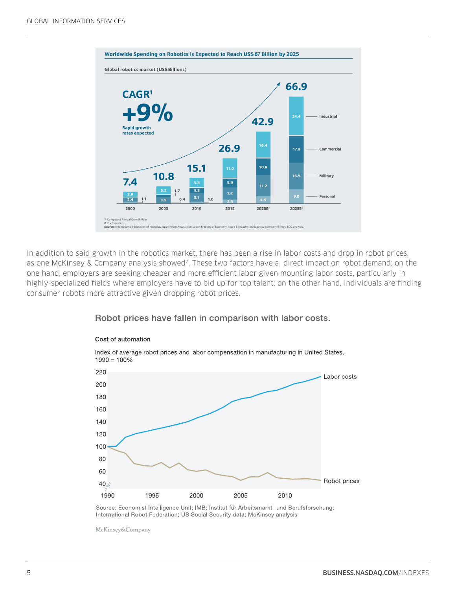

In addition to said growth in the robotics market, there has been a rise in labor costs and drop in robot prices, as one McKinsey & Company analysis showed<sup>7</sup>. These two factors have a direct impact on robot demand: on the one hand, employers are seeking cheaper and more efficient labor given mounting labor costs, particularly in highly-specialized fields where employers have to bid up for top talent; on the other hand, individuals are finding consumer robots more attractive given dropping robot prices.

## Robot prices have fallen in comparison with labor costs.



#### Cost of automation

Source: Economist Intelligence Unit; IMB; Institut für Arbeitsmarkt- und Berufsforschung; International Robot Federation; US Social Security data; McKinsey analysis

McKinsey&Company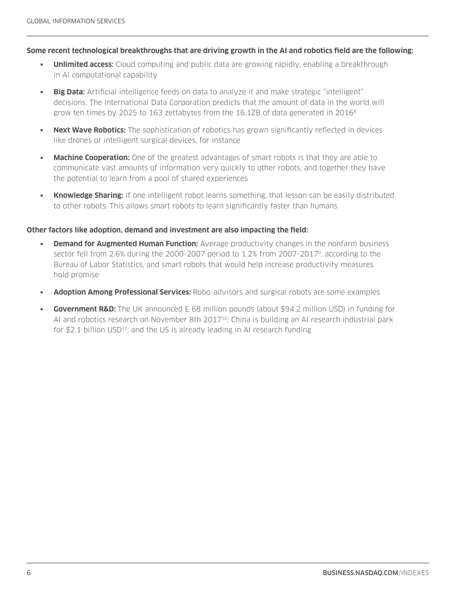#### **Some recent technological breakthroughs that are driving growth in the AI and robotics field are the following:**

- **Unlimited access:** Cloud computing and public data are growing rapidly, enabling a breakthrough in AI computational capability
- **• Big Data:** Artificial intelligence feeds on data to analyze it and make strategic "intelligent" decisions. The International Data Corporation predicts that the amount of data in the world will grow ten times by 2025 to 163 zettabytes from the 16.1ZB of data generated in 20168
- **• Next Wave Robotics:** The sophistication of robotics has grown significantly reflected in devices like drones or intelligent surgical devices, for instance
- **• Machine Cooperation:** One of the greatest advantages of smart robots is that they are able to communicate vast amounts of information very quickly to other robots, and together they have the potential to learn from a pool of shared experiences
- **• Knowledge Sharing:** If one intelligent robot learns something, that lesson can be easily distributed to other robots. This allows smart robots to learn significantly faster than humans

#### **Other factors like adoption, demand and investment are also impacting the field:**

- **Demand for Augmented Human Function:** Average productivity changes in the nonfarm business sector fell from 2.6% during the 2000-2007 period to 1.2% from 2007-20179, according to the Bureau of Labor Statistics, and smart robots that would help increase productivity measures hold promise
- **• Adoption Among Professional Services:** Robo-advisors and surgical robots are some examples
- **Government R&D:** The UK announced £ 68 million pounds (about \$94.2 million USD) in funding for AI and robotics research on November 8th 2017<sup>10</sup>; China is building an AI research industrial park for \$2.1 billion  $USD^{11}$ ; and the US is already leading in AI research funding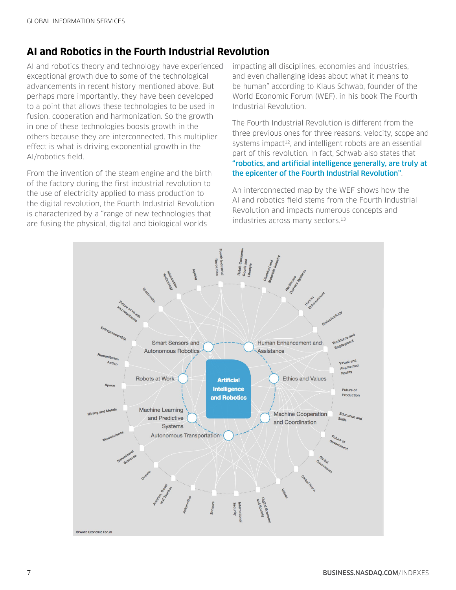# **AI and Robotics in the Fourth Industrial Revolution**

AI and robotics theory and technology have experienced exceptional growth due to some of the technological advancements in recent history mentioned above. But perhaps more importantly, they have been developed to a point that allows these technologies to be used in fusion, cooperation and harmonization. So the growth in one of these technologies boosts growth in the others because they are interconnected. This multiplier effect is what is driving exponential growth in the AI/robotics field.

From the invention of the steam engine and the birth of the factory during the first industrial revolution to the use of electricity applied to mass production to the digital revolution, the Fourth Industrial Revolution is characterized by a "range of new technologies that are fusing the physical, digital and biological worlds

impacting all disciplines, economies and industries, and even challenging ideas about what it means to be human" according to Klaus Schwab, founder of the World Economic Forum (WEF), in his book The Fourth Industrial Revolution.

The Fourth Industrial Revolution is different from the three previous ones for three reasons: velocity, scope and systems impact<sup>12</sup>, and intelligent robots are an essential part of this revolution. In fact, Schwab also states that "robotics, and artificial intelligence generally, are truly at the epicenter of the Fourth Industrial Revolution".

An interconnected map by the WEF shows how the AI and robotics field stems from the Fourth Industrial Revolution and impacts numerous concepts and industries across many sectors.<sup>13</sup>

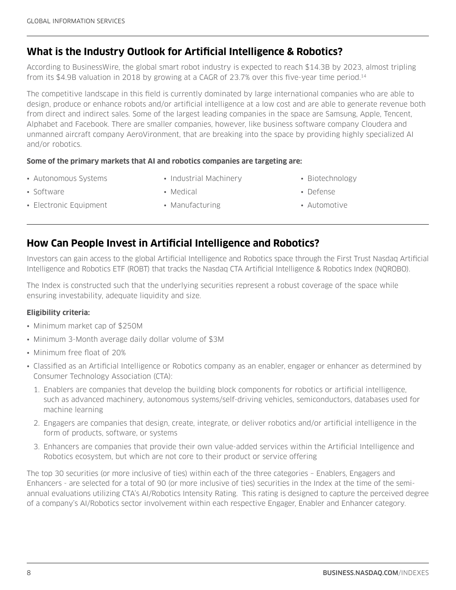# **What is the Industry Outlook for Artificial Intelligence & Robotics?**

According to BusinessWire, the global smart robot industry is expected to reach \$14.3B by 2023, almost tripling from its \$4.9B valuation in 2018 by growing at a CAGR of 23.7% over this five-year time period.14

The competitive landscape in this field is currently dominated by large international companies who are able to design, produce or enhance robots and/or artificial intelligence at a low cost and are able to generate revenue both from direct and indirect sales. Some of the largest leading companies in the space are Samsung, Apple, Tencent, Alphabet and Facebook. There are smaller companies, however, like business software company Cloudera and unmanned aircraft company AeroVironment, that are breaking into the space by providing highly specialized AI and/or robotics.

#### **Some of the primary markets that AI and robotics companies are targeting are:**

- Autonomous Systems
- Industrial Machinery
- Biotechnology

• Software

• Medical

• Automotive

• Defense

- Electronic Equipment
- Manufacturing

# **How Can People Invest in Artificial Intelligence and Robotics?**

Investors can gain access to the global Artificial Intelligence and Robotics space through the First Trust Nasdaq Artificial Intelligence and Robotics ETF (ROBT) that tracks the Nasdaq CTA Artificial Intelligence & Robotics Index (NQROBO).

The Index is constructed such that the underlying securities represent a robust coverage of the space while ensuring investability, adequate liquidity and size.

### **Eligibility criteria:**

- Minimum market cap of \$250M
- Minimum 3-Month average daily dollar volume of \$3M
- Minimum free float of 20%
- Classified as an Artificial Intelligence or Robotics company as an enabler, engager or enhancer as determined by Consumer Technology Association (CTA):
	- 1. Enablers are companies that develop the building block components for robotics or artificial intelligence, such as advanced machinery, autonomous systems/self-driving vehicles, semiconductors, databases used for machine learning
	- 2. Engagers are companies that design, create, integrate, or deliver robotics and/or artificial intelligence in the form of products, software, or systems
	- 3. Enhancers are companies that provide their own value-added services within the Artificial Intelligence and Robotics ecosystem, but which are not core to their product or service offering

The top 30 securities (or more inclusive of ties) within each of the three categories – Enablers, Engagers and Enhancers - are selected for a total of 90 (or more inclusive of ties) securities in the Index at the time of the semiannual evaluations utilizing CTA's AI/Robotics Intensity Rating. This rating is designed to capture the perceived degree of a company's AI/Robotics sector involvement within each respective Engager, Enabler and Enhancer category.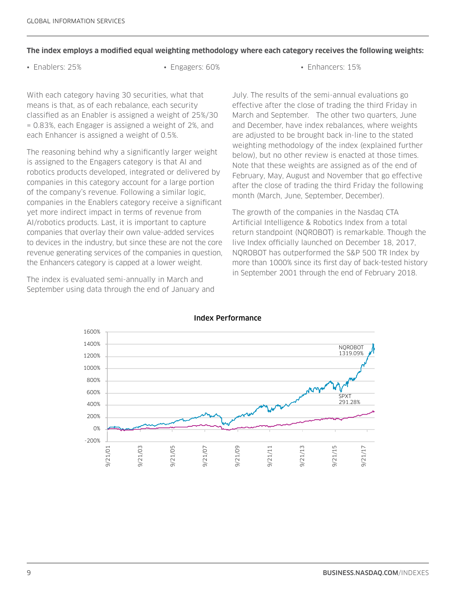#### **The index employs a modified equal weighting methodology where each category receives the following weights:**

• Enablers: 25% • Engagers: 60% • Enhancers: 15%

With each category having 30 securities, what that means is that, as of each rebalance, each security classified as an Enabler is assigned a weight of 25%/30 = 0.83%, each Engager is assigned a weight of 2%, and each Enhancer is assigned a weight of 0.5%.

The reasoning behind why a significantly larger weight is assigned to the Engagers category is that AI and robotics products developed, integrated or delivered by companies in this category account for a large portion of the company's revenue. Following a similar logic, companies in the Enablers category receive a significant yet more indirect impact in terms of revenue from AI/robotics products. Last, it is important to capture companies that overlay their own value-added services to devices in the industry, but since these are not the core revenue generating services of the companies in question, the Enhancers category is capped at a lower weight.

The index is evaluated semi-annually in March and September using data through the end of January and July. The results of the semi-annual evaluations go effective after the close of trading the third Friday in March and September. The other two quarters, June and December, have index rebalances, where weights are adjusted to be brought back in-line to the stated weighting methodology of the index (explained further below), but no other review is enacted at those times. Note that these weights are assigned as of the end of February, May, August and November that go effective after the close of trading the third Friday the following month (March, June, September, December).

The growth of the companies in the Nasdaq CTA Artificial Intelligence & Robotics Index from a total return standpoint (NQROBOT) is remarkable. Though the live Index officially launched on December 18, 2017, NQROBOT has outperformed the S&P 500 TR Index by more than 1000% since its first day of back-tested history in September 2001 through the end of February 2018.



#### Index Performance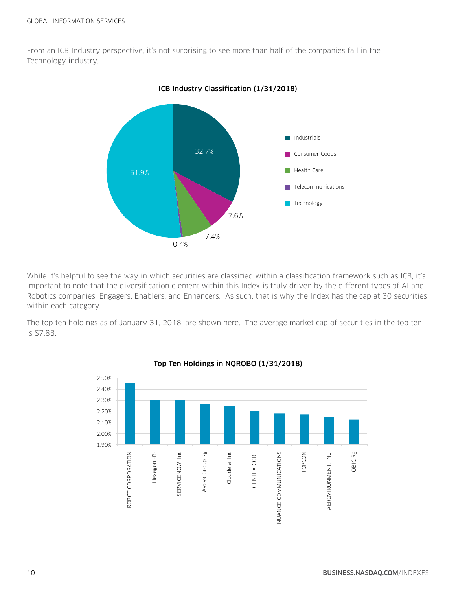From an ICB Industry perspective, it's not surprising to see more than half of the companies fall in the Technology industry.



ICB Industry Classification (1/31/2018)

While it's helpful to see the way in which securities are classified within a classification framework such as ICB, it's important to note that the diversification element within this Index is truly driven by the different types of AI and Robotics companies: Engagers, Enablers, and Enhancers. As such, that is why the Index has the cap at 30 securities within each category.

The top ten holdings as of January 31, 2018, are shown here. The average market cap of securities in the top ten is \$7.8B.



Top Ten Holdings in NQROBO (1/31/2018)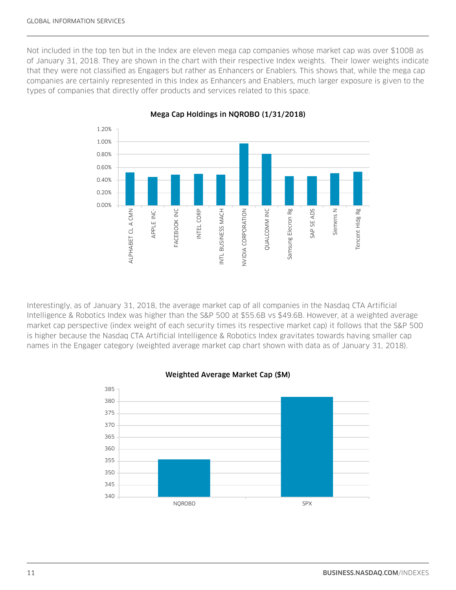Not included in the top ten but in the Index are eleven mega cap companies whose market cap was over \$100B as of January 31, 2018. They are shown in the chart with their respective Index weights. Their lower weights indicate that they were not classified as Engagers but rather as Enhancers or Enablers. This shows that, while the mega cap companies are certainly represented in this Index as Enhancers and Enablers, much larger exposure is given to the types of companies that directly offer products and services related to this space.



#### Mega Cap Holdings in NQROBO (1/31/2018)

Interestingly, as of January 31, 2018, the average market cap of all companies in the Nasdaq CTA Artificial Intelligence & Robotics Index was higher than the S&P 500 at \$55.6B vs \$49.6B. However, at a weighted average market cap perspective (index weight of each security times its respective market cap) it follows that the S&P 500 is higher because the Nasdaq CTA Artificial Intelligence & Robotics Index gravitates towards having smaller cap names in the Engager category (weighted average market cap chart shown with data as of January 31, 2018).



#### Weighted Average Market Cap (\$M)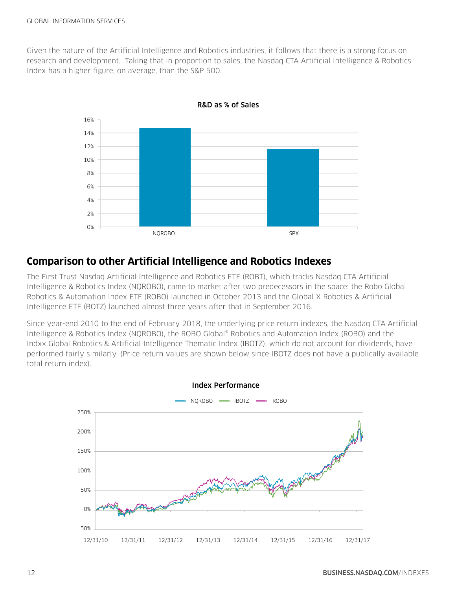Given the nature of the Artificial Intelligence and Robotics industries, it follows that there is a strong focus on research and development. Taking that in proportion to sales, the Nasdaq CTA Artificial Intelligence & Robotics Index has a higher figure, on average, than the S&P 500.



R&D as % of Sales

## **Comparison to other Artificial Intelligence and Robotics Indexes**

The First Trust Nasdaq Artificial Intelligence and Robotics ETF (ROBT), which tracks Nasdaq CTA Artificial Intelligence & Robotics Index (NQROBO), came to market after two predecessors in the space: the Robo Global Robotics & Automation Index ETF (ROBO) launched in October 2013 and the Global X Robotics & Artificial Intelligence ETF (BOTZ) launched almost three years after that in September 2016.

Since year-end 2010 to the end of February 2018, the underlying price return indexes, the Nasdaq CTA Artificial Intelligence & Robotics Index (NQROBO), the ROBO Global® Robotics and Automation Index (ROBO) and the Indxx Global Robotics & Artificial Intelligence Thematic Index (IBOTZ), which do not account for dividends, have performed fairly similarly. (Price return values are shown below since IBOTZ does not have a publically available total return index).

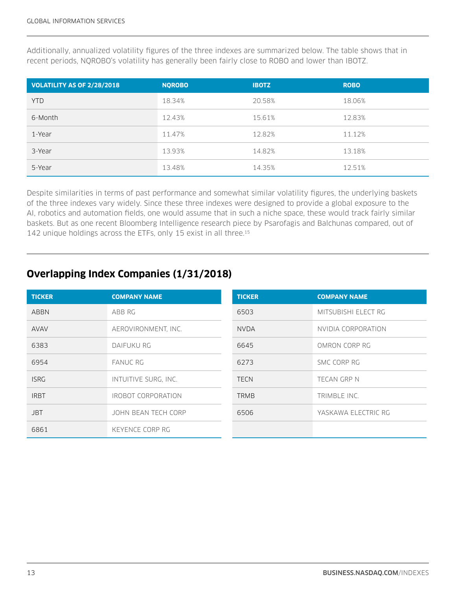Additionally, annualized volatility figures of the three indexes are summarized below. The table shows that in recent periods, NQROBO's volatility has generally been fairly close to ROBO and lower than IBOTZ.

| VOLATILITY AS OF 2/28/2018 | <b>NOROBO</b> | <b>IBOTZ</b> | <b>ROBO</b> |
|----------------------------|---------------|--------------|-------------|
| <b>YTD</b>                 | 18.34%        | 20.58%       | 18.06%      |
| 6-Month                    | 12.43%        | 15.61%       | 12.83%      |
| 1-Year                     | 11.47%        | 12.82%       | 11.12%      |
| 3-Year                     | 13.93%        | 14.82%       | 13.18%      |
| 5-Year                     | 13.48%        | 14.35%       | 12.51%      |

Despite similarities in terms of past performance and somewhat similar volatility figures, the underlying baskets of the three indexes vary widely. Since these three indexes were designed to provide a global exposure to the AI, robotics and automation fields, one would assume that in such a niche space, these would track fairly similar baskets. But as one recent Bloomberg Intelligence research piece by Psarofagis and Balchunas compared, out of 142 unique holdings across the ETFs, only 15 exist in all three.<sup>15</sup>

# **Overlapping Index Companies (1/31/2018)**

| <b>TICKER</b> | <b>COMPANY NAME</b>  | <b>TICKER</b> | <b>COMPANY NAME</b> |
|---------------|----------------------|---------------|---------------------|
| <b>ABBN</b>   | ABB RG               | 6503          | MITSUBISHI ELECT RG |
| <b>AVAV</b>   | AEROVIRONMENT, INC.  | <b>NVDA</b>   | NVIDIA CORPORATION  |
| 6383          | DAIFUKU RG           | 6645          | OMRON CORP RG       |
| 6954          | <b>FANUC RG</b>      | 6273          | SMC CORP RG         |
| <b>ISRG</b>   | INTUITIVE SURG, INC. | <b>TECN</b>   | TECAN GRP N         |
| <b>IRBT</b>   | IROBOT CORPORATION   | <b>TRMB</b>   | TRIMBLE INC.        |
| <b>JBT</b>    | JOHN BEAN TECH CORP  | 6506          | YASKAWA ELECTRIC RG |
| 6861          | KEYENCE CORP RG      |               |                     |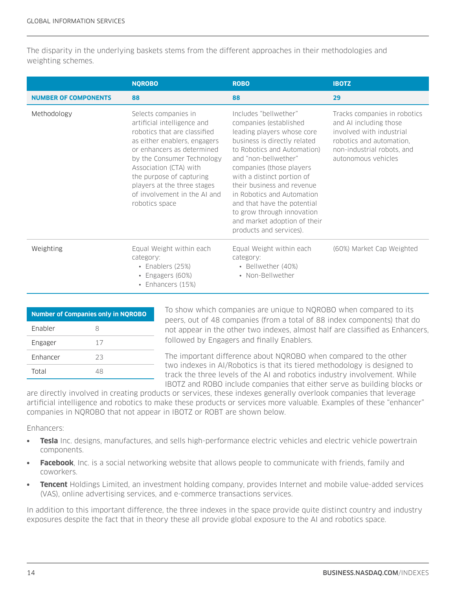The disparity in the underlying baskets stems from the different approaches in their methodologies and weighting schemes.

|                             | <b>NQROBO</b>                                                                                                                                                                                                                                                                                                          | <b>ROBO</b>                                                                                                                                                                                                                                                                                                                                                                                                        | <b>IBOTZ</b>                                                                                                                                                        |
|-----------------------------|------------------------------------------------------------------------------------------------------------------------------------------------------------------------------------------------------------------------------------------------------------------------------------------------------------------------|--------------------------------------------------------------------------------------------------------------------------------------------------------------------------------------------------------------------------------------------------------------------------------------------------------------------------------------------------------------------------------------------------------------------|---------------------------------------------------------------------------------------------------------------------------------------------------------------------|
| <b>NUMBER OF COMPONENTS</b> | 88                                                                                                                                                                                                                                                                                                                     | 88                                                                                                                                                                                                                                                                                                                                                                                                                 | 29                                                                                                                                                                  |
| Methodology                 | Selects companies in<br>artificial intelligence and<br>robotics that are classified<br>as either enablers, engagers<br>or enhancers as determined<br>by the Consumer Technology<br>Association (CTA) with<br>the purpose of capturing<br>players at the three stages<br>of involvement in the AI and<br>robotics space | Includes "bellwether"<br>companies (established<br>leading players whose core<br>business is directly related<br>to Robotics and Automation)<br>and "non-bellwether"<br>companies (those players<br>with a distinct portion of<br>their business and revenue<br>in Robotics and Automation<br>and that have the potential<br>to grow through innovation<br>and market adoption of their<br>products and services). | Tracks companies in robotics<br>and AI including those<br>involved with industrial<br>robotics and automation,<br>non-industrial robots, and<br>autonomous vehicles |
| Weighting                   | Equal Weight within each<br>category:<br>• Enablers $(25%)$<br>• Engagers $(60%)$<br>• Enhancers (15%)                                                                                                                                                                                                                 | Equal Weight within each<br>category:<br>• Bellwether (40%)<br>• Non-Bellwether                                                                                                                                                                                                                                                                                                                                    | (60%) Market Cap Weighted                                                                                                                                           |

| <b>Number of Companies only in NOROBO</b> |    |  |  |  |  |
|-------------------------------------------|----|--|--|--|--|
| Fnabler                                   | 8  |  |  |  |  |
| Engager                                   | 17 |  |  |  |  |
| <b>Enhancer</b>                           | 23 |  |  |  |  |
| Total                                     | 48 |  |  |  |  |

To show which companies are unique to NQROBO when compared to its peers, out of 48 companies (from a total of 88 index components) that do not appear in the other two indexes, almost half are classified as Enhancers, followed by Engagers and finally Enablers.

The important difference about NQROBO when compared to the other two indexes in AI/Robotics is that its tiered methodology is designed to track the three levels of the AI and robotics industry involvement. While IBOTZ and ROBO include companies that either serve as building blocks or

are directly involved in creating products or services, these indexes generally overlook companies that leverage artificial intelligence and robotics to make these products or services more valuable. Examples of these "enhancer" companies in NQROBO that not appear in IBOTZ or ROBT are shown below.

#### Enhancers:

- **• Tesla** Inc. designs, manufactures, and sells high-performance electric vehicles and electric vehicle powertrain components.
- **• Facebook**, Inc. is a social networking website that allows people to communicate with friends, family and coworkers.
- **• Tencent** Holdings Limited, an investment holding company, provides Internet and mobile value-added services (VAS), online advertising services, and e-commerce transactions services.

In addition to this important difference, the three indexes in the space provide quite distinct country and industry exposures despite the fact that in theory these all provide global exposure to the AI and robotics space.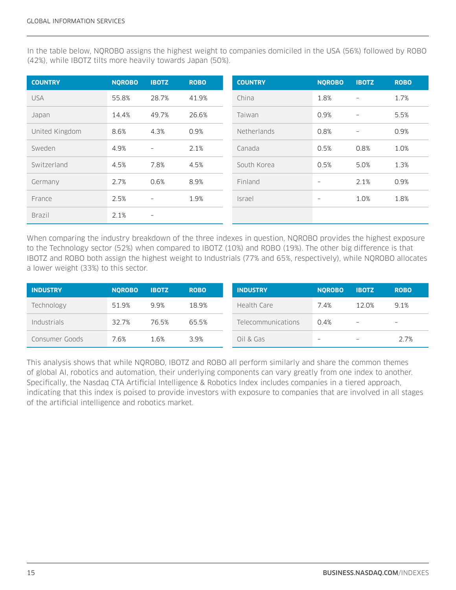In the table below, NQROBO assigns the highest weight to companies domiciled in the USA (56%) followed by ROBO (42%), while IBOTZ tilts more heavily towards Japan (50%).

| <b>COUNTRY</b> | <b>NOROBO</b> | <b>IBOTZ</b>             | <b>ROBO</b> | <b>COUNTRY</b>     | <b>NOROBO</b>            | <b>IBOTZ</b>             | <b>ROBO</b> |
|----------------|---------------|--------------------------|-------------|--------------------|--------------------------|--------------------------|-------------|
| <b>USA</b>     | 55.8%         | 28.7%                    | 41.9%       | China              | 1.8%                     | $\overline{\phantom{m}}$ | 1.7%        |
| Japan          | 14.4%         | 49.7%                    | 26.6%       | Taiwan             | 0.9%                     | $\overline{\phantom{a}}$ | 5.5%        |
| United Kingdom | 8.6%          | 4.3%                     | 0.9%        | <b>Netherlands</b> | 0.8%                     | $\overline{\phantom{a}}$ | 0.9%        |
| Sweden         | 4.9%          | $\overline{\phantom{a}}$ | 2.1%        | Canada             | 0.5%                     | 0.8%                     | 1.0%        |
| Switzerland    | 4.5%          | 7.8%                     | 4.5%        | South Korea        | 0.5%                     | 5.0%                     | 1.3%        |
| Germany        | 2.7%          | 0.6%                     | 8.9%        | Finland            | $\overline{\phantom{a}}$ | 2.1%                     | 0.9%        |
| France         | 2.5%          | $\overline{\phantom{m}}$ | 1.9%        | <i>Israel</i>      | $\qquad \qquad -$        | 1.0%                     | 1.8%        |
| <b>Brazil</b>  | 2.1%          | $\overline{\phantom{a}}$ |             |                    |                          |                          |             |

When comparing the industry breakdown of the three indexes in question, NQROBO provides the highest exposure to the Technology sector (52%) when compared to IBOTZ (10%) and ROBO (19%). The other big difference is that IBOTZ and ROBO both assign the highest weight to Industrials (77% and 65%, respectively), while NQROBO allocates a lower weight (33%) to this sector.

| <b>INDUSTRY</b> | <b>NOROBO</b> | <b>IBOTZ</b> | <b>ROBO</b> | <b>INDUSTRY</b>    | <b>NOROBO</b>            | <b>IBOTZ</b>             | <b>ROBO</b>              |
|-----------------|---------------|--------------|-------------|--------------------|--------------------------|--------------------------|--------------------------|
| Technology      | 51.9%         | 9.9%         | 18.9%       | Health Care        | 7.4%                     | 12.0%                    | 9.1%                     |
| Industrials     | 32.7%         | 76.5%        | 65.5%       | Telecommunications | 0.4%                     | $\overline{\phantom{m}}$ | $\overline{\phantom{m}}$ |
| Consumer Goods  | 7.6%          | 1.6%         | 3.9%        | Oil & Gas          | $\overline{\phantom{m}}$ | $\qquad \qquad -$        | 2.7%                     |

This analysis shows that while NQROBO, IBOTZ and ROBO all perform similarly and share the common themes of global AI, robotics and automation, their underlying components can vary greatly from one index to another. Specifically, the Nasdaq CTA Artificial Intelligence & Robotics Index includes companies in a tiered approach, indicating that this index is poised to provide investors with exposure to companies that are involved in all stages of the artificial intelligence and robotics market.